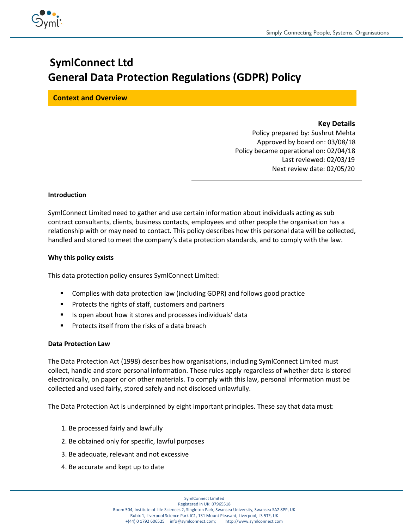

# **SymlConnect Ltd General Data Protection Regulations (GDPR) Policy**

**Context and Overview**

# **Key Details**

 Policy prepared by: Sushrut Mehta Approved by board on: 03/08/18 Policy became operational on: 02/04/18 Last reviewed: 02/03/19 Next review date: 02/05/20

## **Introduction**

SymlConnect Limited need to gather and use certain information about individuals acting as sub contract consultants, clients, business contacts, employees and other people the organisation has a relationship with or may need to contact. This policy describes how this personal data will be collected, handled and stored to meet the company's data protection standards, and to comply with the law.

## **Why this policy exists**

This data protection policy ensures SymlConnect Limited:

- Complies with data protection law (including GDPR) and follows good practice
- Protects the rights of staff, customers and partners
- Is open about how it stores and processes individuals' data
- Protects itself from the risks of a data breach

#### **Data Protection Law**

The Data Protection Act (1998) describes how organisations, including SymlConnect Limited must collect, handle and store personal information. These rules apply regardless of whether data is stored electronically, on paper or on other materials. To comply with this law, personal information must be collected and used fairly, stored safely and not disclosed unlawfully.

The Data Protection Act is underpinned by eight important principles. These say that data must:

- 1. Be processed fairly and lawfully
- 2. Be obtained only for specific, lawful purposes
- 3. Be adequate, relevant and not excessive
- 4. Be accurate and kept up to date

SymlConnect Limited Registered in UK: 07965518 Room 504, Institute of Life Sciences 2, Singleton Park, Swansea University, Swansea SA2 8PP, UK Rubix 1, Liverpool Science Park IC1, 131 Mount Pleasant, Liverpool, L3 5TF, UK +(44) 0 1792 606525 info@symlconnect.com; http://www.symlconnect.com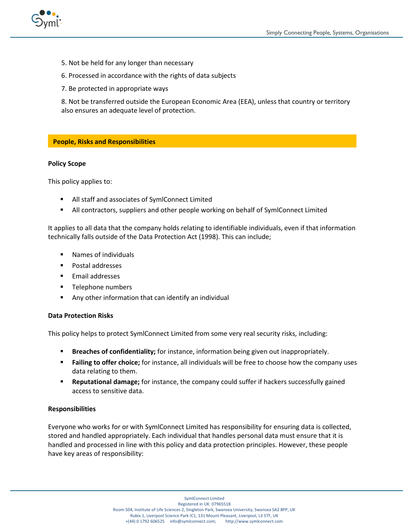

- 5. Not be held for any longer than necessary
- 6. Processed in accordance with the rights of data subjects
- 7. Be protected in appropriate ways

8. Not be transferred outside the European Economic Area (EEA), unless that country or territory also ensures an adequate level of protection.

## **People, Risks and Responsibilities**

#### **Policy Scope**

This policy applies to:

- All staff and associates of SymlConnect Limited
- **■** All contractors, suppliers and other people working on behalf of SymlConnect Limited

It applies to all data that the company holds relating to identifiable individuals, even if that information technically falls outside of the Data Protection Act (1998). This can include;

- Names of individuals
- Postal addresses
- Email addresses
- Telephone numbers
- Any other information that can identify an individual

#### **Data Protection Risks**

This policy helps to protect SymlConnect Limited from some very real security risks, including:

- Breaches of confidentiality; for instance, information being given out inappropriately.
- Failing to offer choice; for instance, all individuals will be free to choose how the company uses data relating to them.
- **EXECT** Reputational damage; for instance, the company could suffer if hackers successfully gained access to sensitive data.

#### **Responsibilities**

Everyone who works for or with SymlConnect Limited has responsibility for ensuring data is collected, stored and handled appropriately. Each individual that handles personal data must ensure that it is handled and processed in line with this policy and data protection principles. However, these people have key areas of responsibility: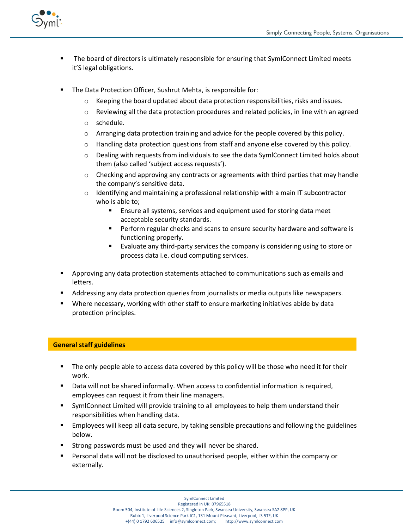

- The board of directors is ultimately responsible for ensuring that SymlConnect Limited meets it'S legal obligations.
- The Data Protection Officer, Sushrut Mehta, is responsible for:
	- $\circ$  Keeping the board updated about data protection responsibilities, risks and issues.
	- o Reviewing all the data protection procedures and related policies, in line with an agreed
	- o schedule.
	- $\circ$  Arranging data protection training and advice for the people covered by this policy.
	- $\circ$  Handling data protection questions from staff and anyone else covered by this policy.
	- $\circ$  Dealing with requests from individuals to see the data SymlConnect Limited holds about them (also called 'subject access requests').
	- $\circ$  Checking and approving any contracts or agreements with third parties that may handle the company's sensitive data.
	- $\circ$  Identifying and maintaining a professional relationship with a main IT subcontractor who is able to;
		- Ensure all systems, services and equipment used for storing data meet acceptable security standards.
		- Perform regular checks and scans to ensure security hardware and software is functioning properly.
		- Evaluate any third-party services the company is considering using to store or process data i.e. cloud computing services.
- **E** Approving any data protection statements attached to communications such as emails and letters.
- Addressing any data protection queries from journalists or media outputs like newspapers.
- Where necessary, working with other staff to ensure marketing initiatives abide by data protection principles.

# **General staff guidelines**

- **■** The only people able to access data covered by this policy will be those who need it for their work.
- Data will not be shared informally. When access to confidential information is required, employees can request it from their line managers.
- **•** SymlConnect Limited will provide training to all employees to help them understand their responsibilities when handling data.
- **Employees will keep all data secure, by taking sensible precautions and following the guidelines** below.
- Strong passwords must be used and they will never be shared.
- Personal data will not be disclosed to unauthorised people, either within the company or externally.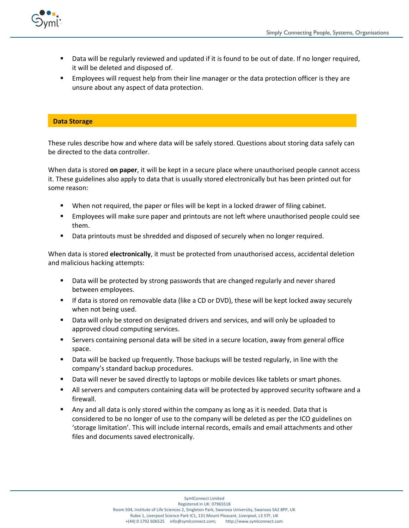

- Data will be regularly reviewed and updated if it is found to be out of date. If no longer required, it will be deleted and disposed of.
- Employees will request help from their line manager or the data protection officer is they are unsure about any aspect of data protection.

#### **Data Storage**

These rules describe how and where data will be safely stored. Questions about storing data safely can be directed to the data controller.

When data is stored **on paper**, it will be kept in a secure place where unauthorised people cannot access it. These guidelines also apply to data that is usually stored electronically but has been printed out for some reason:

- When not required, the paper or files will be kept in a locked drawer of filing cabinet.
- **Employees will make sure paper and printouts are not left where unauthorised people could see** them.
- Data printouts must be shredded and disposed of securely when no longer required.

When data is stored **electronically**, it must be protected from unauthorised access, accidental deletion and malicious hacking attempts:

- **■** Data will be protected by strong passwords that are changed regularly and never shared between employees.
- If data is stored on removable data (like a CD or DVD), these will be kept locked away securely when not being used.
- Data will only be stored on designated drivers and services, and will only be uploaded to approved cloud computing services.
- **EXED** Servers containing personal data will be sited in a secure location, away from general office space.
- **■** Data will be backed up frequently. Those backups will be tested regularly, in line with the company's standard backup procedures.
- Data will never be saved directly to laptops or mobile devices like tablets or smart phones.
- **EXECT** All servers and computers containing data will be protected by approved security software and a firewall.
- Any and all data is only stored within the company as long as it is needed. Data that is considered to be no longer of use to the company will be deleted as per the ICO guidelines on 'storage limitation'. This will include internal records, emails and email attachments and other files and documents saved electronically.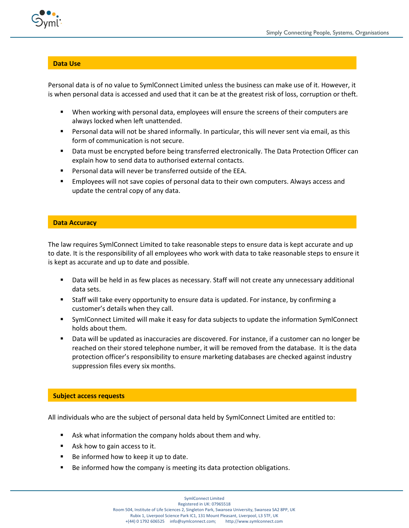



#### **Data Use**

Personal data is of no value to SymlConnect Limited unless the business can make use of it. However, it is when personal data is accessed and used that it can be at the greatest risk of loss, corruption or theft.

- When working with personal data, employees will ensure the screens of their computers are always locked when left unattended.
- Personal data will not be shared informally. In particular, this will never sent via email, as this form of communication is not secure.
- Data must be encrypted before being transferred electronically. The Data Protection Officer can explain how to send data to authorised external contacts.
- Personal data will never be transferred outside of the EEA.
- Employees will not save copies of personal data to their own computers. Always access and update the central copy of any data.

# **Data Accuracy**

The law requires SymlConnect Limited to take reasonable steps to ensure data is kept accurate and up to date. It is the responsibility of all employees who work with data to take reasonable steps to ensure it is kept as accurate and up to date and possible.

- Data will be held in as few places as necessary. Staff will not create any unnecessary additional data sets.
- Staff will take every opportunity to ensure data is updated. For instance, by confirming a customer's details when they call.
- SymlConnect Limited will make it easy for data subjects to update the information SymlConnect holds about them.
- Data will be updated as inaccuracies are discovered. For instance, if a customer can no longer be reached on their stored telephone number, it will be removed from the database. It is the data protection officer's responsibility to ensure marketing databases are checked against industry suppression files every six months.

#### **Subject access requests**

All individuals who are the subject of personal data held by SymlConnect Limited are entitled to:

- Ask what information the company holds about them and why.
- Ask how to gain access to it.
- Be informed how to keep it up to date.
- Be informed how the company is meeting its data protection obligations.